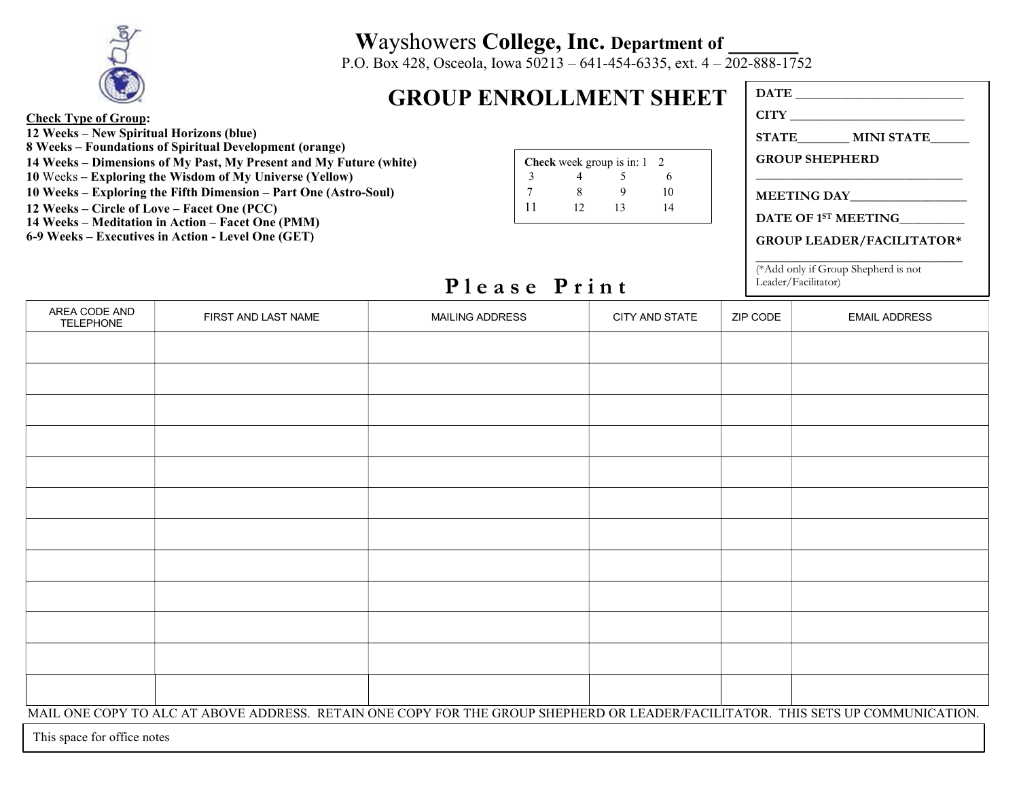

## Wayshowers College, Inc. Department of

P.O. Box 428, Osceola, Iowa 50213 – 641-454-6335, ext. 4 – 202-888-1752

## GROUP ENROLLMENT SHEET

DATE CITY STATE\_\_\_\_\_\_\_\_ MINI STATE\_\_\_\_\_\_

GROUP SHEPHERD \_\_\_\_\_\_\_\_\_\_\_\_\_\_\_\_\_\_\_\_\_\_\_\_\_\_\_\_\_\_\_\_

MEETING DAY\_\_\_\_\_\_\_\_\_\_\_\_\_\_\_\_\_\_

DATE OF 1<sup>st</sup> MEETING\_\_\_\_\_\_\_\_\_

GROUP LEADER/FACILITATOR\* \_\_\_\_\_\_\_\_\_\_\_\_\_\_\_\_\_\_\_\_\_\_\_\_\_\_\_\_\_\_\_\_

(\*Add only if Group Shepherd is not Leader/Facilitator)

## Check Type of Group: 12 Weeks – New Spiritual Horizons (blue)

- 8 Weeks Foundations of Spiritual Development (orange)
- 14 Weeks Dimensions of My Past, My Present and My Future (white)
- 10 Weeks Exploring the Wisdom of My Universe (Yellow)
- 10 Weeks Exploring the Fifth Dimension Part One (Astro-Soul)
- 12 Weeks Circle of Love Facet One (PCC)
- 14 Weeks Meditation in Action Facet One (PMM)
- 6-9 Weeks Executives in Action Level One (GET)

|    |    | <b>Check</b> week group is in: 1 | $\overline{2}$ |
|----|----|----------------------------------|----------------|
|    |    |                                  |                |
|    |    |                                  | 10             |
| 11 | 12 | 13                               | 14             |

## Please Print

| AREA CODE AND<br><b>TELEPHONE</b> | FIRST AND LAST NAME | <b>MAILING ADDRESS</b> | CITY AND STATE | ZIP CODE | <b>EMAIL ADDRESS</b> |
|-----------------------------------|---------------------|------------------------|----------------|----------|----------------------|
|                                   |                     |                        |                |          |                      |
|                                   |                     |                        |                |          |                      |
|                                   |                     |                        |                |          |                      |
|                                   |                     |                        |                |          |                      |
|                                   |                     |                        |                |          |                      |
|                                   |                     |                        |                |          |                      |
|                                   |                     |                        |                |          |                      |
|                                   |                     |                        |                |          |                      |
|                                   |                     |                        |                |          |                      |
|                                   |                     |                        |                |          |                      |
|                                   |                     |                        |                |          |                      |
|                                   |                     |                        |                |          |                      |